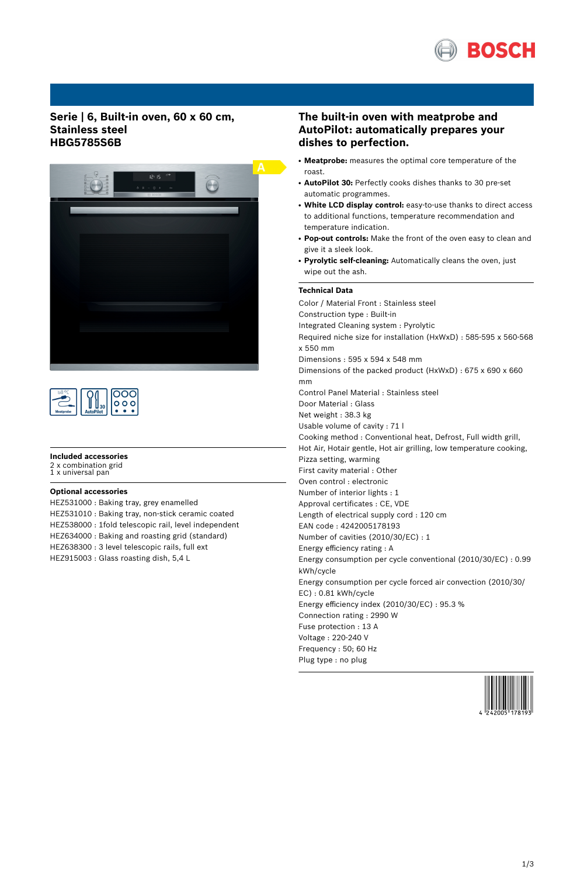

## **Serie | 6, Built-in oven, 60 x 60 cm, Stainless steel HBG5785S6B**



| <b>Meatprobe</b> |  | o o |
|------------------|--|-----|
|------------------|--|-----|

### **Included accessories**

2 x combination grid 1 x universal pan

**Optional accessories**

HEZ531000 : Baking tray, grey enamelled HEZ531010 : Baking tray, non-stick ceramic coated HEZ538000 : 1fold telescopic rail, level independent HEZ634000 : Baking and roasting grid (standard) HEZ638300 : 3 level telescopic rails, full ext HEZ915003 : Glass roasting dish, 5,4 L

# **The built-in oven with meatprobe and AutoPilot: automatically prepares your dishes to perfection.**

- Meatprobe: measures the optimal core temperature of the roast.
- AutoPilot 30: Perfectly cooks dishes thanks to 30 pre-set automatic programmes.
- **White LCD display control:** easy-to-use thanks to direct access to additional functions, temperature recommendation and temperature indication.
- **Pop-out controls:** Make the front of the oven easy to clean and give it a sleek look.
- **Pyrolytic self-cleaning:** Automatically cleans the oven, just wipe out the ash.

## **Technical Data**

Color / Material Front : Stainless steel Construction type : Built-in Integrated Cleaning system : Pyrolytic Required niche size for installation (HxWxD) : 585-595 x 560-568 x 550 mm Dimensions : 595 x 594 x 548 mm Dimensions of the packed product (HxWxD) : 675 x 690 x 660 mm Control Panel Material : Stainless steel Door Material : Glass Net weight : 38.3 kg Usable volume of cavity : 71 l Cooking method : Conventional heat, Defrost, Full width grill, Hot Air, Hotair gentle, Hot air grilling, low temperature cooking, Pizza setting, warming First cavity material : Other Oven control : electronic Number of interior lights : 1 Approval certificates : CE, VDE Length of electrical supply cord : 120 cm EAN code : 4242005178193 Number of cavities (2010/30/EC) : 1 Energy efficiency rating : A Energy consumption per cycle conventional (2010/30/EC) : 0.99 kWh/cycle Energy consumption per cycle forced air convection (2010/30/ EC) : 0.81 kWh/cycle Energy efficiency index (2010/30/EC) : 95.3 % Connection rating : 2990 W Fuse protection : 13 A Voltage : 220-240 V Frequency : 50; 60 Hz Plug type : no plug

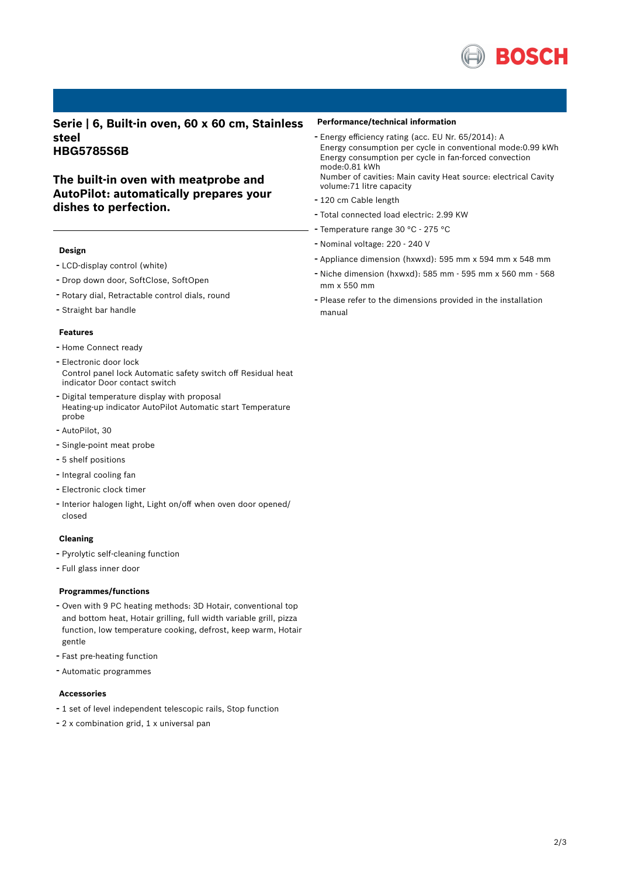

**Serie | 6, Built-in oven, 60 x 60 cm, Stainless steel HBG5785S6B**

**The built-in oven with meatprobe and AutoPilot: automatically prepares your dishes to perfection.**

#### **Design**

- LCD-display control (white)
- Drop down door, SoftClose, SoftOpen
- Rotary dial, Retractable control dials, round
- Straight bar handle

#### **Features**

- Home Connect ready
- Electronic door lock Control panel lock Automatic safety switch off Residual heat indicator Door contact switch
- Digital temperature display with proposal Heating-up indicator AutoPilot Automatic start Temperature probe
- AutoPilot, <sup>30</sup>
- Single-point meat probe
- 5 shelf positions
- Integral cooling fan
- Electronic clock timer
- Interior halogen light, Light on/off when oven door opened/ closed

#### **Cleaning**

- Pyrolytic self-cleaning function
- Full glass inner door

#### **Programmes/functions**

- Oven with <sup>9</sup> PC heating methods: 3D Hotair, conventional top and bottom heat, Hotair grilling, full width variable grill, pizza function, low temperature cooking, defrost, keep warm, Hotair gentle
- Fast pre-heating function
- Automatic programmes

#### **Accessories**

- <sup>1</sup> set of level independent telescopic rails, Stop function
- <sup>2</sup> <sup>x</sup> combination grid, <sup>1</sup> <sup>x</sup> universal pan

#### **Performance/technical information**

- Energy efficiency rating (acc. EU Nr. 65/2014): <sup>A</sup> Energy consumption per cycle in conventional mode:0.99 kWh Energy consumption per cycle in fan-forced convection mode:0.81 kWh Number of cavities: Main cavity Heat source: electrical Cavity volume:71 litre capacity
- <sup>120</sup> cm Cable length
- Total connected load electric: 2.99 KW
- Temperature range <sup>30</sup> °C <sup>275</sup> °C
- Nominal voltage: <sup>220</sup> <sup>240</sup> <sup>V</sup>
- Appliance dimension (hxwxd): 595 mm x 594 mm x 548 mm
- Niche dimension (hxwxd): <sup>585</sup> mm <sup>595</sup> mm <sup>x</sup> <sup>560</sup> mm <sup>568</sup> mm x 550 mm
- Please refer to the dimensions provided in the installation manual